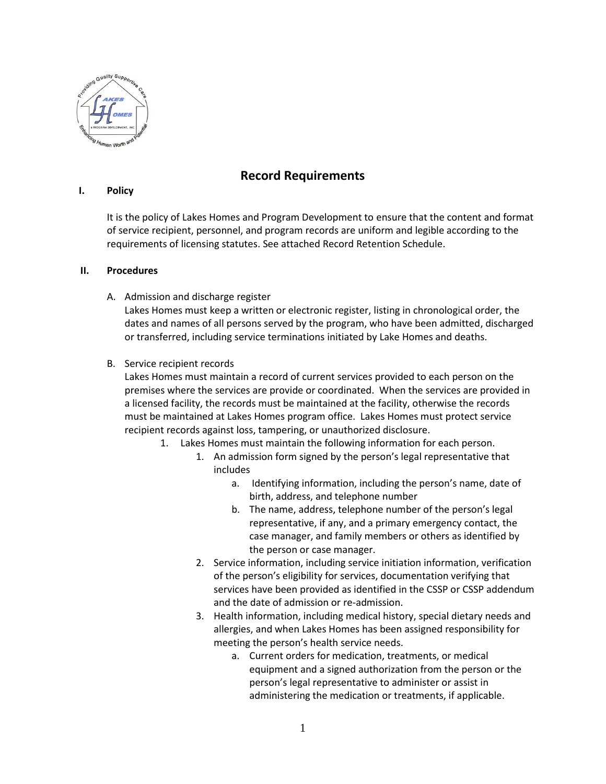

## **Record Requirements**

## **I. Policy**

It is the policy of Lakes Homes and Program Development to ensure that the content and format of service recipient, personnel, and program records are uniform and legible according to the requirements of licensing statutes. See attached Record Retention Schedule.

## **II. Procedures**

A. Admission and discharge register

Lakes Homes must keep a written or electronic register, listing in chronological order, the dates and names of all persons served by the program, who have been admitted, discharged or transferred, including service terminations initiated by Lake Homes and deaths.

B. Service recipient records

Lakes Homes must maintain a record of current services provided to each person on the premises where the services are provide or coordinated. When the services are provided in a licensed facility, the records must be maintained at the facility, otherwise the records must be maintained at Lakes Homes program office. Lakes Homes must protect service recipient records against loss, tampering, or unauthorized disclosure.

- 1. Lakes Homes must maintain the following information for each person.
	- 1. An admission form signed by the person's legal representative that includes
		- a. Identifying information, including the person's name, date of birth, address, and telephone number
		- b. The name, address, telephone number of the person's legal representative, if any, and a primary emergency contact, the case manager, and family members or others as identified by the person or case manager.
	- 2. Service information, including service initiation information, verification of the person's eligibility for services, documentation verifying that services have been provided as identified in the CSSP or CSSP addendum and the date of admission or re-admission.
	- 3. Health information, including medical history, special dietary needs and allergies, and when Lakes Homes has been assigned responsibility for meeting the person's health service needs.
		- a. Current orders for medication, treatments, or medical equipment and a signed authorization from the person or the person's legal representative to administer or assist in administering the medication or treatments, if applicable.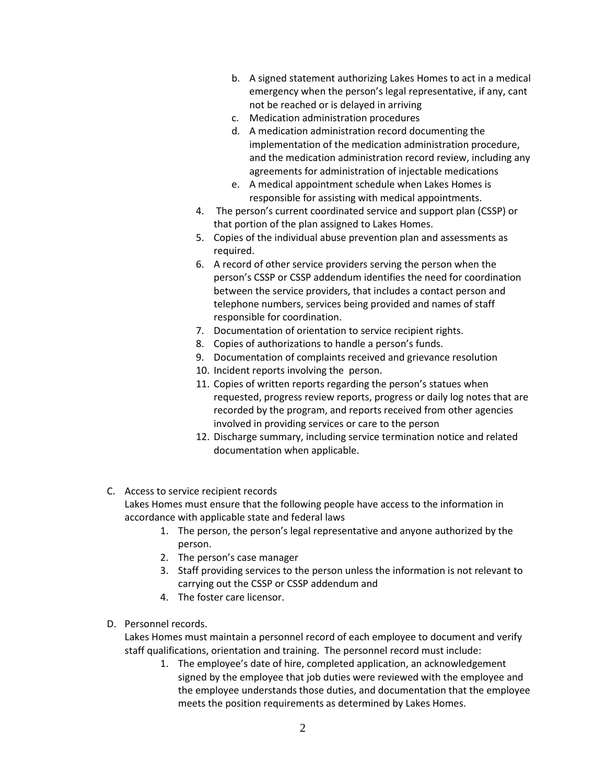- b. A signed statement authorizing Lakes Homes to act in a medical emergency when the person's legal representative, if any, cant not be reached or is delayed in arriving
- c. Medication administration procedures
- d. A medication administration record documenting the implementation of the medication administration procedure, and the medication administration record review, including any agreements for administration of injectable medications
- e. A medical appointment schedule when Lakes Homes is responsible for assisting with medical appointments.
- 4. The person's current coordinated service and support plan (CSSP) or that portion of the plan assigned to Lakes Homes.
- 5. Copies of the individual abuse prevention plan and assessments as required.
- 6. A record of other service providers serving the person when the person's CSSP or CSSP addendum identifies the need for coordination between the service providers, that includes a contact person and telephone numbers, services being provided and names of staff responsible for coordination.
- 7. Documentation of orientation to service recipient rights.
- 8. Copies of authorizations to handle a person's funds.
- 9. Documentation of complaints received and grievance resolution
- 10. Incident reports involving the person.
- 11. Copies of written reports regarding the person's statues when requested, progress review reports, progress or daily log notes that are recorded by the program, and reports received from other agencies involved in providing services or care to the person
- 12. Discharge summary, including service termination notice and related documentation when applicable.
- C. Access to service recipient records Lakes Homes must ensure that the following people have access to the information in accordance with applicable state and federal laws
	- 1. The person, the person's legal representative and anyone authorized by the person.
	- 2. The person's case manager
	- 3. Staff providing services to the person unless the information is not relevant to carrying out the CSSP or CSSP addendum and
	- 4. The foster care licensor.
- D. Personnel records.

Lakes Homes must maintain a personnel record of each employee to document and verify staff qualifications, orientation and training. The personnel record must include:

1. The employee's date of hire, completed application, an acknowledgement signed by the employee that job duties were reviewed with the employee and the employee understands those duties, and documentation that the employee meets the position requirements as determined by Lakes Homes.